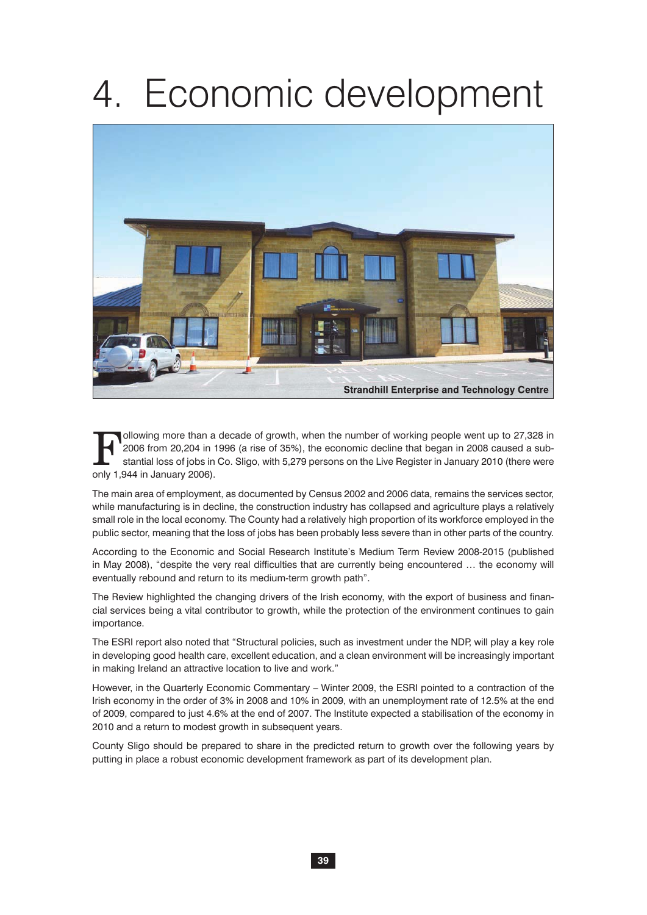# 4. Economic development



Following more than a decade of growth, when the number of working people went up to 27,328 in<br>2006 from 20,204 in 1996 (a rise of 35%), the economic decline that began in 2008 caused a sub-<br>stantial loss of jobs in Co. Sl 2006 from 20,204 in 1996 (a rise of 35%), the economic decline that began in 2008 caused a substantial loss of jobs in Co. Sligo, with 5,279 persons on the Live Register in January 2010 (there were only 1,944 in January 2006).

The main area of employment, as documented by Census 2002 and 2006 data, remains the services sector, while manufacturing is in decline, the construction industry has collapsed and agriculture plays a relatively small role in the local economy. The County had a relatively high proportion of its workforce employed in the public sector, meaning that the loss of jobs has been probably less severe than in other parts of the country.

According to the Economic and Social Research Institute's Medium Term Review 2008-2015 (published in May 2008), "despite the very real difficulties that are currently being encountered … the economy will eventually rebound and return to its medium-term growth path".

The Review highlighted the changing drivers of the Irish economy, with the export of business and financial services being a vital contributor to growth, while the protection of the environment continues to gain importance.

The ESRI report also noted that "Structural policies, such as investment under the NDP, will play a key role in developing good health care, excellent education, and a clean environment will be increasingly important in making Ireland an attractive location to live and work."

However, in the Quarterly Economic Commentary – Winter 2009, the ESRI pointed to a contraction of the Irish economy in the order of 3% in 2008 and 10% in 2009, with an unemployment rate of 12.5% at the end of 2009, compared to just 4.6% at the end of 2007. The Institute expected a stabilisation of the economy in 2010 and a return to modest growth in subsequent years.

County Sligo should be prepared to share in the predicted return to growth over the following years by putting in place a robust economic development framework as part of its development plan.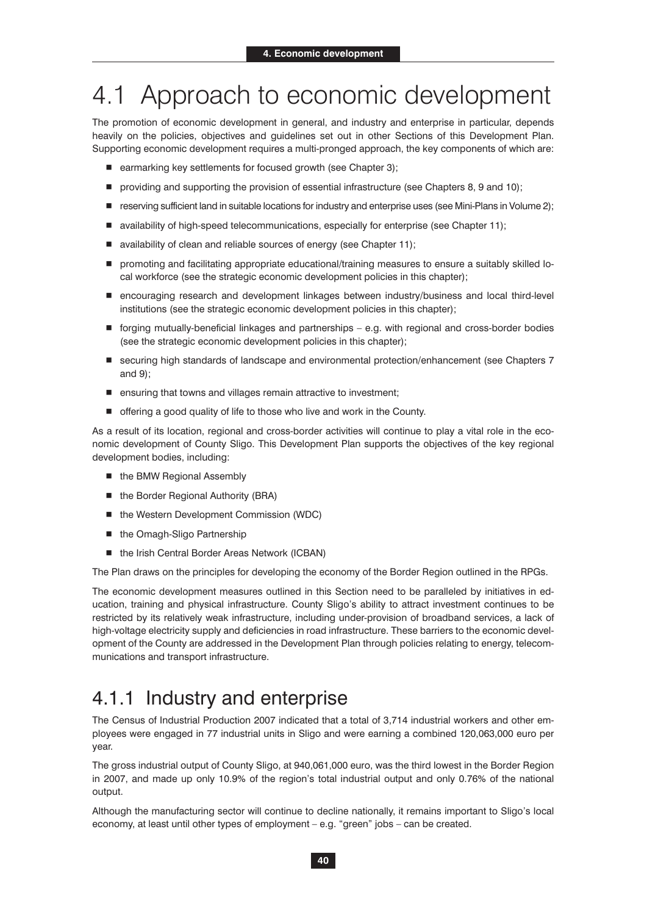## 4.1 Approach to economic development

The promotion of economic development in general, and industry and enterprise in particular, depends heavily on the policies, objectives and guidelines set out in other Sections of this Development Plan. Supporting economic development requires a multi-pronged approach, the key components of which are:

- earmarking key settlements for focused growth (see Chapter 3);
- providing and supporting the provision of essential infrastructure (see Chapters 8, 9 and 10);
- reserving sufficient land in suitable locations for industry and enterprise uses (see Mini-Plans in Volume 2);
- availability of high-speed telecommunications, especially for enterprise (see Chapter 11);
- availability of clean and reliable sources of energy (see Chapter 11);
- promoting and facilitating appropriate educational/training measures to ensure a suitably skilled local workforce (see the strategic economic development policies in this chapter);
- encouraging research and development linkages between industry/business and local third-level institutions (see the strategic economic development policies in this chapter);
- forging mutually-beneficial linkages and partnerships e.g. with regional and cross-border bodies (see the strategic economic development policies in this chapter);
- securing high standards of landscape and environmental protection/enhancement (see Chapters 7 and 9);
- ensuring that towns and villages remain attractive to investment;
- offering a good quality of life to those who live and work in the County.

As a result of its location, regional and cross-border activities will continue to play a vital role in the economic development of County Sligo. This Development Plan supports the objectives of the key regional development bodies, including:

- the BMW Regional Assembly
- the Border Regional Authority (BRA)
- the Western Development Commission (WDC)
- the Omagh-Sligo Partnership
- the Irish Central Border Areas Network (ICBAN)

The Plan draws on the principles for developing the economy of the Border Region outlined in the RPGs.

The economic development measures outlined in this Section need to be paralleled by initiatives in education, training and physical infrastructure. County Sligo's ability to attract investment continues to be restricted by its relatively weak infrastructure, including under-provision of broadband services, a lack of high-voltage electricity supply and deficiencies in road infrastructure. These barriers to the economic development of the County are addressed in the Development Plan through policies relating to energy, telecommunications and transport infrastructure.

### 4.1.1 Industry and enterprise

The Census of Industrial Production 2007 indicated that a total of 3,714 industrial workers and other employees were engaged in 77 industrial units in Sligo and were earning a combined 120,063,000 euro per year.

The gross industrial output of County Sligo, at 940,061,000 euro, was the third lowest in the Border Region in 2007, and made up only 10.9% of the region's total industrial output and only 0.76% of the national output.

Although the manufacturing sector will continue to decline nationally, it remains important to Sligo's local economy, at least until other types of employment – e.g. "green" jobs – can be created.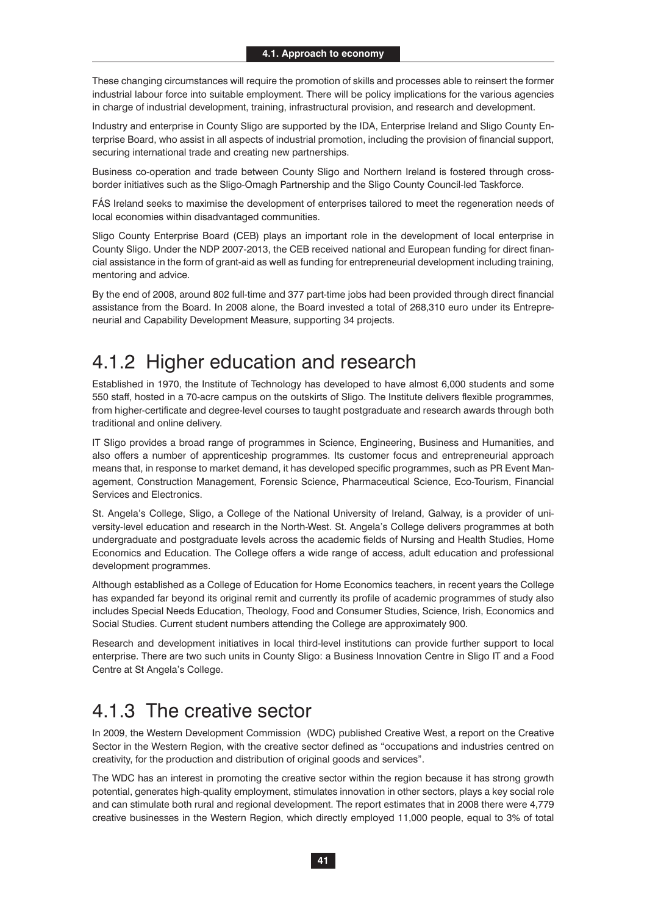These changing circumstances will require the promotion of skills and processes able to reinsert the former industrial labour force into suitable employment. There will be policy implications for the various agencies in charge of industrial development, training, infrastructural provision, and research and development.

Industry and enterprise in County Sligo are supported by the IDA, Enterprise Ireland and Sligo County Enterprise Board, who assist in all aspects of industrial promotion, including the provision of financial support, securing international trade and creating new partnerships.

Business co-operation and trade between County Sligo and Northern Ireland is fostered through crossborder initiatives such as the Sligo-Omagh Partnership and the Sligo County Council-led Taskforce.

FÁS Ireland seeks to maximise the development of enterprises tailored to meet the regeneration needs of local economies within disadvantaged communities.

Sligo County Enterprise Board (CEB) plays an important role in the development of local enterprise in County Sligo. Under the NDP 2007-2013, the CEB received national and European funding for direct financial assistance in the form of grant-aid as well as funding for entrepreneurial development including training, mentoring and advice.

By the end of 2008, around 802 full-time and 377 part-time jobs had been provided through direct financial assistance from the Board. In 2008 alone, the Board invested a total of 268,310 euro under its Entrepreneurial and Capability Development Measure, supporting 34 projects.

### 4.1.2 Higher education and research

Established in 1970, the Institute of Technology has developed to have almost 6,000 students and some 550 staff, hosted in a 70-acre campus on the outskirts of Sligo. The Institute delivers flexible programmes, from higher-certificate and degree-level courses to taught postgraduate and research awards through both traditional and online delivery.

IT Sligo provides a broad range of programmes in Science, Engineering, Business and Humanities, and also offers a number of apprenticeship programmes. Its customer focus and entrepreneurial approach means that, in response to market demand, it has developed specific programmes, such as PR Event Management, Construction Management, Forensic Science, Pharmaceutical Science, Eco-Tourism, Financial Services and Electronics.

St. Angela's College, Sligo, a College of the National University of Ireland, Galway, is a provider of university-level education and research in the North-West. St. Angela's College delivers programmes at both undergraduate and postgraduate levels across the academic fields of Nursing and Health Studies, Home Economics and Education. The College offers a wide range of access, adult education and professional development programmes.

Although established as a College of Education for Home Economics teachers, in recent years the College has expanded far beyond its original remit and currently its profile of academic programmes of study also includes Special Needs Education, Theology, Food and Consumer Studies, Science, Irish, Economics and Social Studies. Current student numbers attending the College are approximately 900.

Research and development initiatives in local third-level institutions can provide further support to local enterprise. There are two such units in County Sligo: a Business Innovation Centre in Sligo IT and a Food Centre at St Angela's College.

### 4.1.3 The creative sector

In 2009, the Western Development Commission (WDC) published Creative West, a report on the Creative Sector in the Western Region, with the creative sector defined as "occupations and industries centred on creativity, for the production and distribution of original goods and services".

The WDC has an interest in promoting the creative sector within the region because it has strong growth potential, generates high-quality employment, stimulates innovation in other sectors, plays a key social role and can stimulate both rural and regional development. The report estimates that in 2008 there were 4,779 creative businesses in the Western Region, which directly employed 11,000 people, equal to 3% of total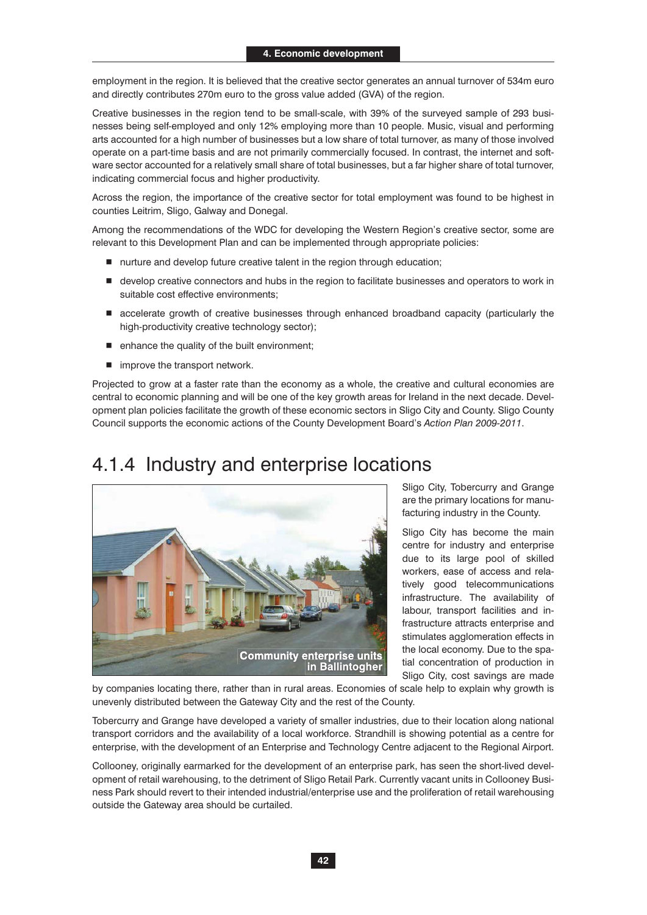employment in the region. It is believed that the creative sector generates an annual turnover of 534m euro and directly contributes 270m euro to the gross value added (GVA) of the region.

Creative businesses in the region tend to be small-scale, with 39% of the surveyed sample of 293 businesses being self-employed and only 12% employing more than 10 people. Music, visual and performing arts accounted for a high number of businesses but a low share of total turnover, as many of those involved operate on a part-time basis and are not primarily commercially focused. In contrast, the internet and software sector accounted for a relatively small share of total businesses, but a far higher share of total turnover, indicating commercial focus and higher productivity.

Across the region, the importance of the creative sector for total employment was found to be highest in counties Leitrim, Sligo, Galway and Donegal.

Among the recommendations of the WDC for developing the Western Region's creative sector, some are relevant to this Development Plan and can be implemented through appropriate policies:

- nurture and develop future creative talent in the region through education;
- develop creative connectors and hubs in the region to facilitate businesses and operators to work in suitable cost effective environments;
- accelerate growth of creative businesses through enhanced broadband capacity (particularly the high-productivity creative technology sector);
- enhance the quality of the built environment;
- $\blacksquare$  improve the transport network.

Projected to grow at a faster rate than the economy as a whole, the creative and cultural economies are central to economic planning and will be one of the key growth areas for Ireland in the next decade. Development plan policies facilitate the growth of these economic sectors in Sligo City and County. Sligo County Council supports the economic actions of the County Development Board's *Action Plan 2009-2011*.

## 4.1.4 Industry and enterprise locations



Sligo City, Tobercurry and Grange are the primary locations for manufacturing industry in the County.

Sligo City has become the main centre for industry and enterprise due to its large pool of skilled workers, ease of access and relatively good telecommunications infrastructure. The availability of labour, transport facilities and infrastructure attracts enterprise and stimulates agglomeration effects in the local economy. Due to the spatial concentration of production in Sligo City, cost savings are made

by companies locating there, rather than in rural areas. Economies of scale help to explain why growth is unevenly distributed between the Gateway City and the rest of the County.

Tobercurry and Grange have developed a variety of smaller industries, due to their location along national transport corridors and the availability of a local workforce. Strandhill is showing potential as a centre for enterprise, with the development of an Enterprise and Technology Centre adjacent to the Regional Airport.

Collooney, originally earmarked for the development of an enterprise park, has seen the short-lived development of retail warehousing, to the detriment of Sligo Retail Park. Currently vacant units in Collooney Business Park should revert to their intended industrial/enterprise use and the proliferation of retail warehousing outside the Gateway area should be curtailed.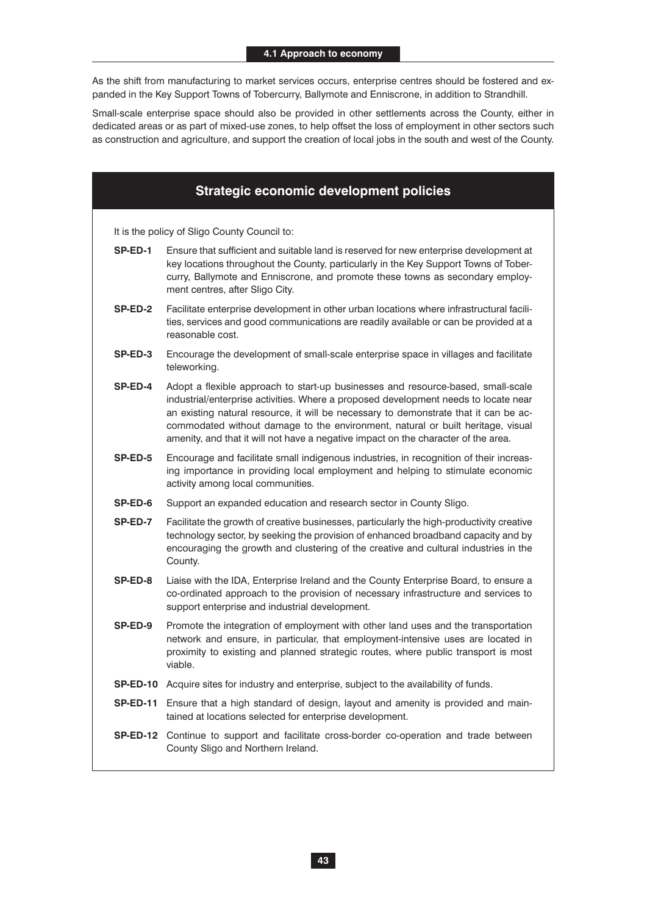As the shift from manufacturing to market services occurs, enterprise centres should be fostered and expanded in the Key Support Towns of Tobercurry, Ballymote and Enniscrone, in addition to Strandhill.

Small-scale enterprise space should also be provided in other settlements across the County, either in dedicated areas or as part of mixed-use zones, to help offset the loss of employment in other sectors such as construction and agriculture, and support the creation of local jobs in the south and west of the County.

|                | <b>Strategic economic development policies</b>                                                                                                                                                                                                                                                                                                                                                                                           |  |  |  |  |  |  |  |
|----------------|------------------------------------------------------------------------------------------------------------------------------------------------------------------------------------------------------------------------------------------------------------------------------------------------------------------------------------------------------------------------------------------------------------------------------------------|--|--|--|--|--|--|--|
|                | It is the policy of Sligo County Council to:                                                                                                                                                                                                                                                                                                                                                                                             |  |  |  |  |  |  |  |
| SP-ED-1        | Ensure that sufficient and suitable land is reserved for new enterprise development at<br>key locations throughout the County, particularly in the Key Support Towns of Tober-<br>curry, Ballymote and Enniscrone, and promote these towns as secondary employ-<br>ment centres, after Sligo City.                                                                                                                                       |  |  |  |  |  |  |  |
| SP-ED-2        | Facilitate enterprise development in other urban locations where infrastructural facili-<br>ties, services and good communications are readily available or can be provided at a<br>reasonable cost.                                                                                                                                                                                                                                     |  |  |  |  |  |  |  |
| SP-ED-3        | Encourage the development of small-scale enterprise space in villages and facilitate<br>teleworking.                                                                                                                                                                                                                                                                                                                                     |  |  |  |  |  |  |  |
| SP-ED-4        | Adopt a flexible approach to start-up businesses and resource-based, small-scale<br>industrial/enterprise activities. Where a proposed development needs to locate near<br>an existing natural resource, it will be necessary to demonstrate that it can be ac-<br>commodated without damage to the environment, natural or built heritage, visual<br>amenity, and that it will not have a negative impact on the character of the area. |  |  |  |  |  |  |  |
| SP-ED-5        | Encourage and facilitate small indigenous industries, in recognition of their increas-<br>ing importance in providing local employment and helping to stimulate economic<br>activity among local communities.                                                                                                                                                                                                                            |  |  |  |  |  |  |  |
| SP-ED-6        | Support an expanded education and research sector in County Sligo.                                                                                                                                                                                                                                                                                                                                                                       |  |  |  |  |  |  |  |
| <b>SP-ED-7</b> | Facilitate the growth of creative businesses, particularly the high-productivity creative<br>technology sector, by seeking the provision of enhanced broadband capacity and by<br>encouraging the growth and clustering of the creative and cultural industries in the<br>County.                                                                                                                                                        |  |  |  |  |  |  |  |
| SP-ED-8        | Liaise with the IDA, Enterprise Ireland and the County Enterprise Board, to ensure a<br>co-ordinated approach to the provision of necessary infrastructure and services to<br>support enterprise and industrial development.                                                                                                                                                                                                             |  |  |  |  |  |  |  |
| SP-ED-9        | Promote the integration of employment with other land uses and the transportation<br>network and ensure, in particular, that employment-intensive uses are located in<br>proximity to existing and planned strategic routes, where public transport is most<br>viable.                                                                                                                                                                   |  |  |  |  |  |  |  |
| SP-ED-10       | Acquire sites for industry and enterprise, subject to the availability of funds.                                                                                                                                                                                                                                                                                                                                                         |  |  |  |  |  |  |  |
|                | SP-ED-11 Ensure that a high standard of design, layout and amenity is provided and main-<br>tained at locations selected for enterprise development.                                                                                                                                                                                                                                                                                     |  |  |  |  |  |  |  |
|                | SP-ED-12 Continue to support and facilitate cross-border co-operation and trade between<br>County Sligo and Northern Ireland.                                                                                                                                                                                                                                                                                                            |  |  |  |  |  |  |  |
|                |                                                                                                                                                                                                                                                                                                                                                                                                                                          |  |  |  |  |  |  |  |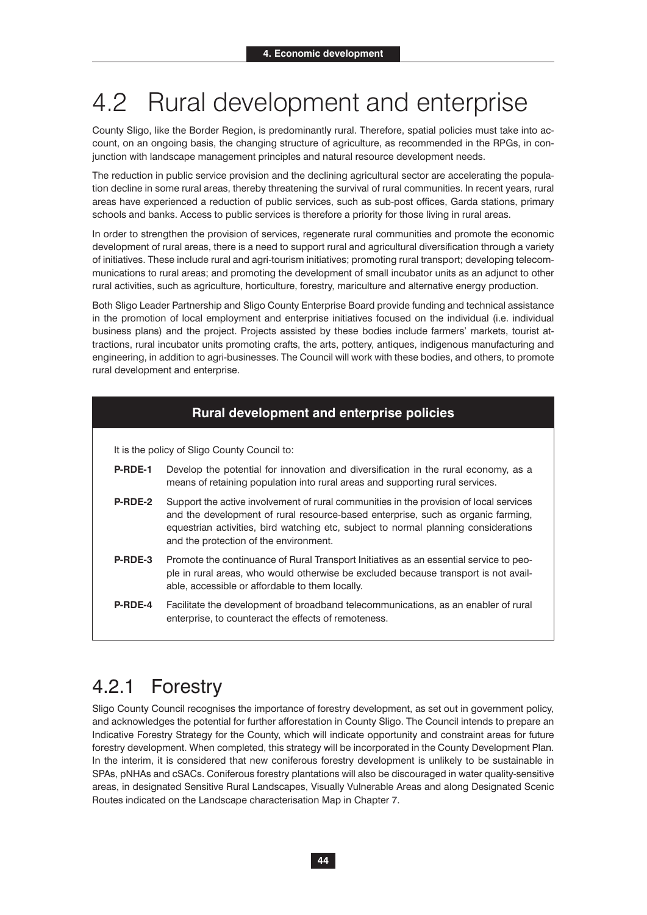## 4.2 Rural development and enterprise

County Sligo, like the Border Region, is predominantly rural. Therefore, spatial policies must take into account, on an ongoing basis, the changing structure of agriculture, as recommended in the RPGs, in conjunction with landscape management principles and natural resource development needs.

The reduction in public service provision and the declining agricultural sector are accelerating the population decline in some rural areas, thereby threatening the survival of rural communities. In recent years, rural areas have experienced a reduction of public services, such as sub-post offices, Garda stations, primary schools and banks. Access to public services is therefore a priority for those living in rural areas.

In order to strengthen the provision of services, regenerate rural communities and promote the economic development of rural areas, there is a need to support rural and agricultural diversification through a variety of initiatives. These include rural and agri-tourism initiatives; promoting rural transport; developing telecommunications to rural areas; and promoting the development of small incubator units as an adjunct to other rural activities, such as agriculture, horticulture, forestry, mariculture and alternative energy production.

Both Sligo Leader Partnership and Sligo County Enterprise Board provide funding and technical assistance in the promotion of local employment and enterprise initiatives focused on the individual (i.e. individual business plans) and the project. Projects assisted by these bodies include farmers' markets, tourist attractions, rural incubator units promoting crafts, the arts, pottery, antiques, indigenous manufacturing and engineering, in addition to agri-businesses. The Council will work with these bodies, and others, to promote rural development and enterprise.

#### **Rural development and enterprise policies**

It is the policy of Sligo County Council to:

- **P-RDE-1** Develop the potential for innovation and diversification in the rural economy, as a means of retaining population into rural areas and supporting rural services.
- **P-RDE-2** Support the active involvement of rural communities in the provision of local services and the development of rural resource-based enterprise, such as organic farming, equestrian activities, bird watching etc, subject to normal planning considerations and the protection of the environment.
- **P-RDE-3** Promote the continuance of Rural Transport Initiatives as an essential service to people in rural areas, who would otherwise be excluded because transport is not available, accessible or affordable to them locally.
- **P-RDE-4** Facilitate the development of broadband telecommunications, as an enabler of rural enterprise, to counteract the effects of remoteness.

### 4.2.1 Forestry

Sligo County Council recognises the importance of forestry development, as set out in government policy, and acknowledges the potential for further afforestation in County Sligo. The Council intends to prepare an Indicative Forestry Strategy for the County, which will indicate opportunity and constraint areas for future forestry development. When completed, this strategy will be incorporated in the County Development Plan. In the interim, it is considered that new coniferous forestry development is unlikely to be sustainable in SPAs, pNHAs and cSACs. Coniferous forestry plantations will also be discouraged in water quality-sensitive areas, in designated Sensitive Rural Landscapes, Visually Vulnerable Areas and along Designated Scenic Routes indicated on the Landscape characterisation Map in Chapter 7.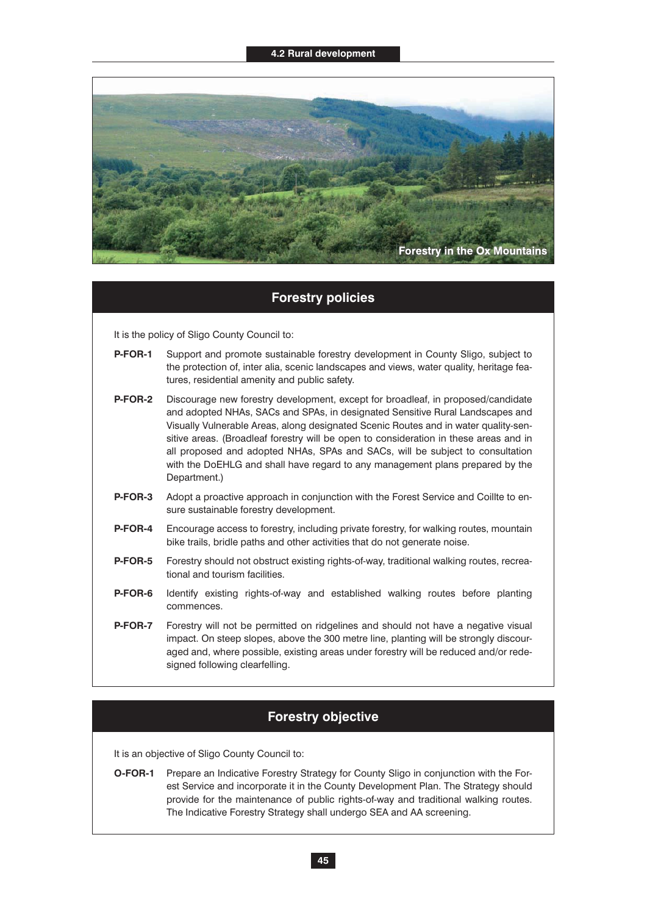

#### **Forestry policies**

It is the policy of Sligo County Council to:

- **P-FOR-1** Support and promote sustainable forestry development in County Sligo, subject to the protection of, inter alia, scenic landscapes and views, water quality, heritage features, residential amenity and public safety.
- **P-FOR-2** Discourage new forestry development, except for broadleaf, in proposed/candidate and adopted NHAs, SACs and SPAs, in designated Sensitive Rural Landscapes and Visually Vulnerable Areas, along designated Scenic Routes and in water quality-sensitive areas. (Broadleaf forestry will be open to consideration in these areas and in all proposed and adopted NHAs, SPAs and SACs, will be subject to consultation with the DoEHLG and shall have regard to any management plans prepared by the Department.)
- **P-FOR-3** Adopt a proactive approach in conjunction with the Forest Service and Coillte to ensure sustainable forestry development.
- **P-FOR-4** Encourage access to forestry, including private forestry, for walking routes, mountain bike trails, bridle paths and other activities that do not generate noise.
- **P-FOR-5** Forestry should not obstruct existing rights-of-way, traditional walking routes, recreational and tourism facilities.
- **P-FOR-6** Identify existing rights-of-way and established walking routes before planting commences.
- **P-FOR-7** Forestry will not be permitted on ridgelines and should not have a negative visual impact. On steep slopes, above the 300 metre line, planting will be strongly discouraged and, where possible, existing areas under forestry will be reduced and/or redesigned following clearfelling.

### **Forestry objective**

It is an objective of Sligo County Council to:

**O-FOR-1** Prepare an Indicative Forestry Strategy for County Sligo in conjunction with the Forest Service and incorporate it in the County Development Plan. The Strategy should provide for the maintenance of public rights-of-way and traditional walking routes. The Indicative Forestry Strategy shall undergo SEA and AA screening.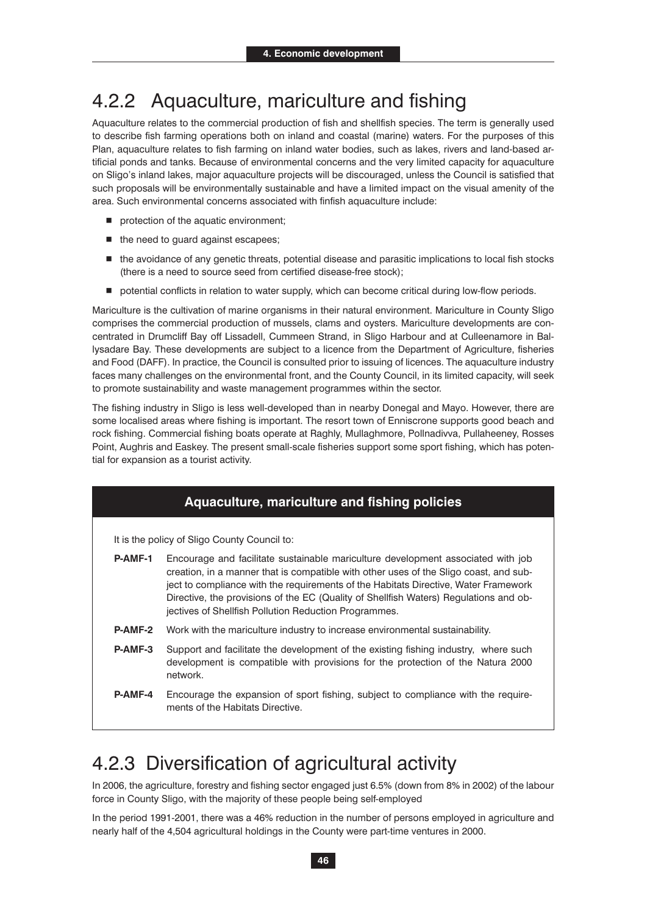## 4.2.2 Aquaculture, mariculture and fishing

Aquaculture relates to the commercial production of fish and shellfish species. The term is generally used to describe fish farming operations both on inland and coastal (marine) waters. For the purposes of this Plan, aquaculture relates to fish farming on inland water bodies, such as lakes, rivers and land-based artificial ponds and tanks. Because of environmental concerns and the very limited capacity for aquaculture on Sligo's inland lakes, major aquaculture projects will be discouraged, unless the Council is satisfied that such proposals will be environmentally sustainable and have a limited impact on the visual amenity of the area. Such environmental concerns associated with finfish aquaculture include:

- **P** protection of the aquatic environment;
- $\blacksquare$  the need to guard against escapees;
- the avoidance of any genetic threats, potential disease and parasitic implications to local fish stocks (there is a need to source seed from certified disease-free stock);
- **potential conflicts in relation to water supply, which can become critical during low-flow periods.**

Mariculture is the cultivation of marine organisms in their natural environment. Mariculture in County Sligo comprises the commercial production of mussels, clams and oysters. Mariculture developments are concentrated in Drumcliff Bay off Lissadell, Cummeen Strand, in Sligo Harbour and at Culleenamore in Ballysadare Bay. These developments are subject to a licence from the Department of Agriculture, fisheries and Food (DAFF). In practice, the Council is consulted prior to issuing of licences. The aquaculture industry faces many challenges on the environmental front, and the County Council, in its limited capacity, will seek to promote sustainability and waste management programmes within the sector.

The fishing industry in Sligo is less well-developed than in nearby Donegal and Mayo. However, there are some localised areas where fishing is important. The resort town of Enniscrone supports good beach and rock fishing. Commercial fishing boats operate at Raghly, Mullaghmore, Pollnadivva, Pullaheeney, Rosses Point, Aughris and Easkey. The present small-scale fisheries support some sport fishing, which has potential for expansion as a tourist activity.

|                | Aquaculture, mariculture and fishing policies                                                                                                                                                                                                                                                                                                                                                                      |  |  |  |  |  |  |
|----------------|--------------------------------------------------------------------------------------------------------------------------------------------------------------------------------------------------------------------------------------------------------------------------------------------------------------------------------------------------------------------------------------------------------------------|--|--|--|--|--|--|
|                | It is the policy of Sligo County Council to:                                                                                                                                                                                                                                                                                                                                                                       |  |  |  |  |  |  |
| <b>P-AMF-1</b> | Encourage and facilitate sustainable mariculture development associated with job<br>creation, in a manner that is compatible with other uses of the Sligo coast, and sub-<br>ject to compliance with the requirements of the Habitats Directive, Water Framework<br>Directive, the provisions of the EC (Quality of Shellfish Waters) Regulations and ob-<br>jectives of Shellfish Pollution Reduction Programmes. |  |  |  |  |  |  |
| <b>P-AMF-2</b> | Work with the mariculture industry to increase environmental sustainability.                                                                                                                                                                                                                                                                                                                                       |  |  |  |  |  |  |
| $P-AMF-3$      | Support and facilitate the development of the existing fishing industry, where such<br>development is compatible with provisions for the protection of the Natura 2000<br>network.                                                                                                                                                                                                                                 |  |  |  |  |  |  |
| <b>P-AMF-4</b> | Encourage the expansion of sport fishing, subject to compliance with the require-<br>ments of the Habitats Directive.                                                                                                                                                                                                                                                                                              |  |  |  |  |  |  |

## 4.2.3 Diversification of agricultural activity

In 2006, the agriculture, forestry and fishing sector engaged just 6.5% (down from 8% in 2002) of the labour force in County Sligo, with the majority of these people being self-employed

In the period 1991-2001, there was a 46% reduction in the number of persons employed in agriculture and nearly half of the 4,504 agricultural holdings in the County were part-time ventures in 2000.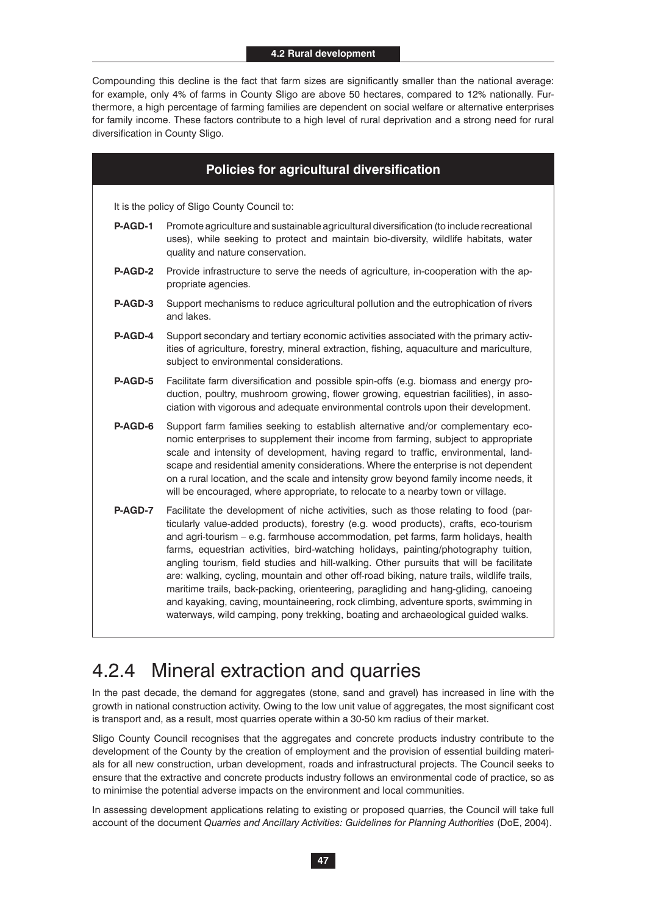Compounding this decline is the fact that farm sizes are significantly smaller than the national average: for example, only 4% of farms in County Sligo are above 50 hectares, compared to 12% nationally. Furthermore, a high percentage of farming families are dependent on social welfare or alternative enterprises for family income. These factors contribute to a high level of rural deprivation and a strong need for rural diversification in County Sligo.

#### **Policies for agricultural diversification**

It is the policy of Sligo County Council to:

- **P-AGD-1** Promote agriculture and sustainable agricultural diversification (to include recreational uses), while seeking to protect and maintain bio-diversity, wildlife habitats, water quality and nature conservation.
- **P-AGD-2** Provide infrastructure to serve the needs of agriculture, in-cooperation with the appropriate agencies.
- **P-AGD-3** Support mechanisms to reduce agricultural pollution and the eutrophication of rivers and lakes.
- **P-AGD-4** Support secondary and tertiary economic activities associated with the primary activities of agriculture, forestry, mineral extraction, fishing, aquaculture and mariculture, subject to environmental considerations.
- **P-AGD-5** Facilitate farm diversification and possible spin-offs (e.g. biomass and energy production, poultry, mushroom growing, flower growing, equestrian facilities), in association with vigorous and adequate environmental controls upon their development.
- **P-AGD-6** Support farm families seeking to establish alternative and/or complementary economic enterprises to supplement their income from farming, subject to appropriate scale and intensity of development, having regard to traffic, environmental, landscape and residential amenity considerations. Where the enterprise is not dependent on a rural location, and the scale and intensity grow beyond family income needs, it will be encouraged, where appropriate, to relocate to a nearby town or village.
- **P-AGD-7** Facilitate the development of niche activities, such as those relating to food (particularly value-added products), forestry (e.g. wood products), crafts, eco-tourism and agri-tourism – e.g. farmhouse accommodation, pet farms, farm holidays, health farms, equestrian activities, bird-watching holidays, painting/photography tuition, angling tourism, field studies and hill-walking. Other pursuits that will be facilitate are: walking, cycling, mountain and other off-road biking, nature trails, wildlife trails, maritime trails, back-packing, orienteering, paragliding and hang-gliding, canoeing and kayaking, caving, mountaineering, rock climbing, adventure sports, swimming in waterways, wild camping, pony trekking, boating and archaeological guided walks.

### 4.2.4 Mineral extraction and quarries

In the past decade, the demand for aggregates (stone, sand and gravel) has increased in line with the growth in national construction activity. Owing to the low unit value of aggregates, the most significant cost is transport and, as a result, most quarries operate within a 30-50 km radius of their market.

Sligo County Council recognises that the aggregates and concrete products industry contribute to the development of the County by the creation of employment and the provision of essential building materials for all new construction, urban development, roads and infrastructural projects. The Council seeks to ensure that the extractive and concrete products industry follows an environmental code of practice, so as to minimise the potential adverse impacts on the environment and local communities.

In assessing development applications relating to existing or proposed quarries, the Council will take full account of the document *Quarries and Ancillary Activities: Guidelines for Planning Authorities* (DoE, 2004).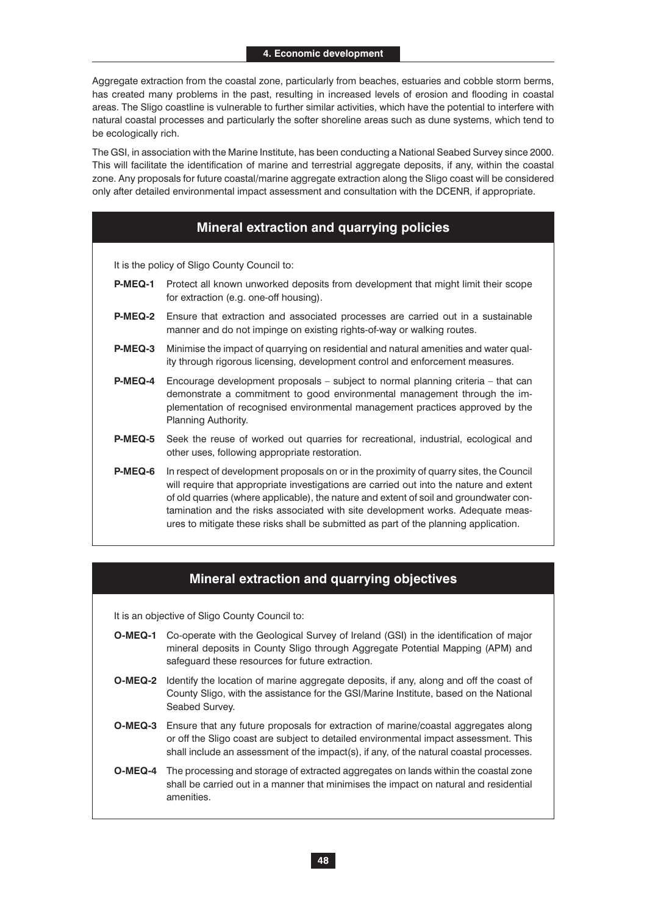Aggregate extraction from the coastal zone, particularly from beaches, estuaries and cobble storm berms, has created many problems in the past, resulting in increased levels of erosion and flooding in coastal areas. The Sligo coastline is vulnerable to further similar activities, which have the potential to interfere with natural coastal processes and particularly the softer shoreline areas such as dune systems, which tend to be ecologically rich.

The GSI, in association with the Marine Institute, has been conducting a National Seabed Survey since 2000. This will facilitate the identification of marine and terrestrial aggregate deposits, if any, within the coastal zone. Any proposals for future coastal/marine aggregate extraction along the Sligo coast will be considered only after detailed environmental impact assessment and consultation with the DCENR, if appropriate.

### **Mineral extraction and quarrying policies**

It is the policy of Sligo County Council to:

- **P-MEQ-1** Protect all known unworked deposits from development that might limit their scope for extraction (e.g. one-off housing).
- **P-MEQ-2** Ensure that extraction and associated processes are carried out in a sustainable manner and do not impinge on existing rights-of-way or walking routes.
- **P-MEQ-3** Minimise the impact of quarrying on residential and natural amenities and water quality through rigorous licensing, development control and enforcement measures.
- **P-MEQ-4** Encourage development proposals subject to normal planning criteria that can demonstrate a commitment to good environmental management through the implementation of recognised environmental management practices approved by the Planning Authority.
- **P-MEQ-5** Seek the reuse of worked out quarries for recreational, industrial, ecological and other uses, following appropriate restoration.
- **P-MEQ-6** In respect of development proposals on or in the proximity of quarry sites, the Council will require that appropriate investigations are carried out into the nature and extent of old quarries (where applicable), the nature and extent of soil and groundwater contamination and the risks associated with site development works. Adequate measures to mitigate these risks shall be submitted as part of the planning application.

### **Mineral extraction and quarrying objectives**

- **O-MEQ-1** Co-operate with the Geological Survey of Ireland (GSI) in the identification of major mineral deposits in County Sligo through Aggregate Potential Mapping (APM) and safeguard these resources for future extraction.
- **O-MEQ-2** Identify the location of marine aggregate deposits, if any, along and off the coast of County Sligo, with the assistance for the GSI/Marine Institute, based on the National Seabed Survey.
- **O-MEQ-3** Ensure that any future proposals for extraction of marine/coastal aggregates along or off the Sligo coast are subject to detailed environmental impact assessment. This shall include an assessment of the impact(s), if any, of the natural coastal processes.
- **O-MEQ-4** The processing and storage of extracted aggregates on lands within the coastal zone shall be carried out in a manner that minimises the impact on natural and residential amenities.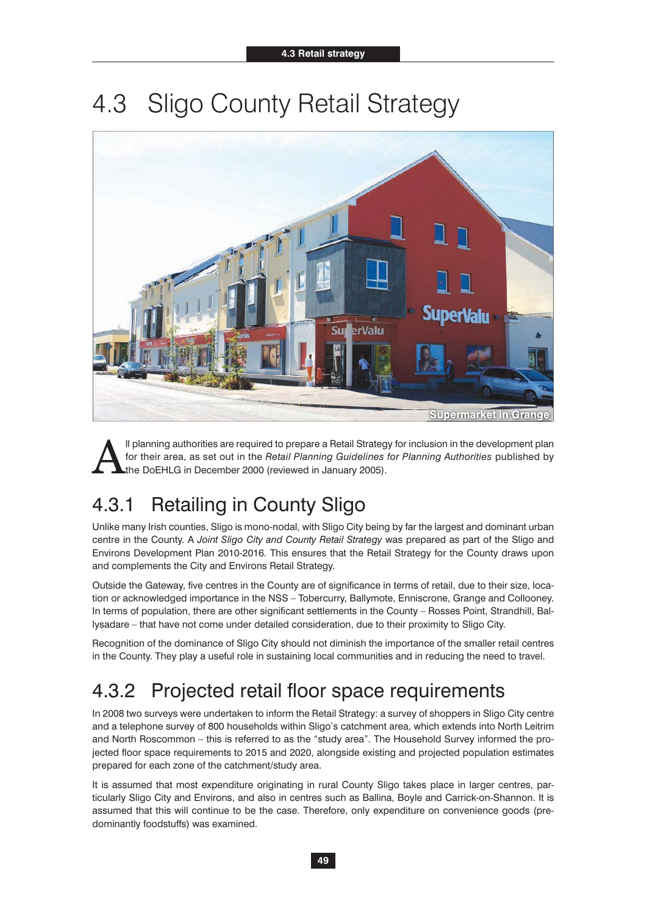## 4.3 Sligo County Retail Strategy



Il planning authorities are required to prepare a Retail Strategy for inclusion in the development plan for their area, as set out in the *Retail Planning Guidelines for Planning Authorities* published by the DoEHLG in December 2000 (reviewed in January 2005).

## 4.3.1 Retailing in County Sligo

Unlike many Irish counties, Sligo is mono-nodal, with Sligo City being by far the largest and dominant urban centre in the County. A *Joint Sligo City and County Retail Strategy* was prepared as part of the Sligo and Environs Development Plan 2010-2016. This ensures that the Retail Strategy for the County draws upon and complements the City and Environs Retail Strategy.

Outside the Gateway, five centres in the County are of significance in terms of retail, due to their size, location or acknowledged importance in the NSS – Tobercurry, Ballymote, Enniscrone, Grange and Collooney. In terms of population, there are other significant settlements in the County – Rosses Point, Strandhill, Ballysadare – that have not come under detailed consideration, due to their proximity to Sligo City.

Recognition of the dominance of Sligo City should not diminish the importance of the smaller retail centres in the County. They play a useful role in sustaining local communities and in reducing the need to travel.

## 4.3.2 Projected retail floor space requirements

In 2008 two surveys were undertaken to inform the Retail Strategy: a survey of shoppers in Sligo City centre and a telephone survey of 800 households within Sligo's catchment area, which extends into North Leitrim and North Roscommon – this is referred to as the "study area". The Household Survey informed the projected floor space requirements to 2015 and 2020, alongside existing and projected population estimates prepared for each zone of the catchment/study area.

It is assumed that most expenditure originating in rural County Sligo takes place in larger centres, particularly Sligo City and Environs, and also in centres such as Ballina, Boyle and Carrick-on-Shannon. It is assumed that this will continue to be the case. Therefore, only expenditure on convenience goods (predominantly foodstuffs) was examined.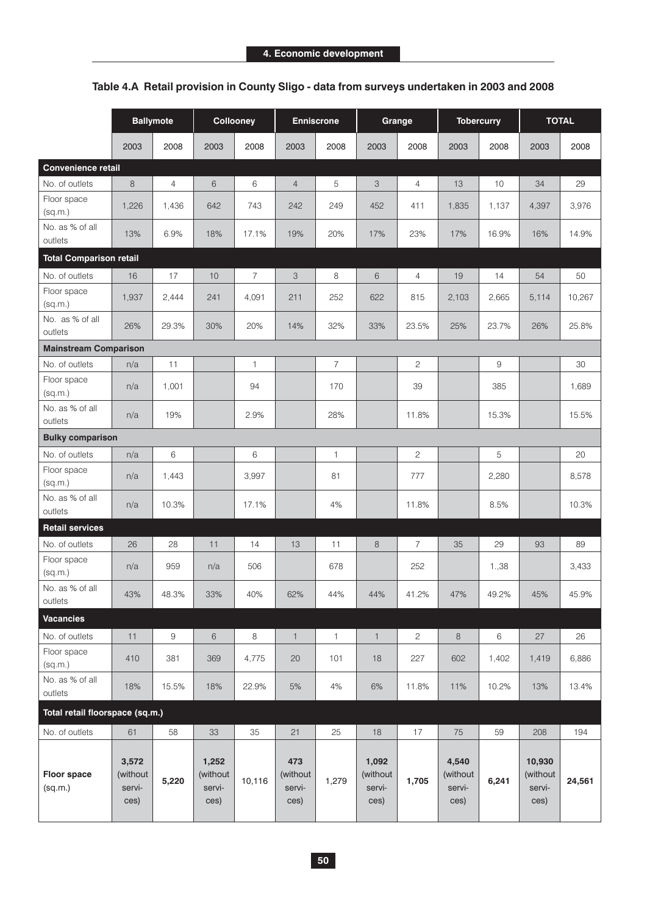### **Table 4.A Retail provision in County Sligo - data from surveys undertaken in 2003 and 2008**

|                                 | <b>Ballymote</b>                    |       | Collooney                           |                | <b>Enniscrone</b>                 |                | Grange                              |                | <b>Tobercurry</b>                   |       | <b>TOTAL</b>                         |        |
|---------------------------------|-------------------------------------|-------|-------------------------------------|----------------|-----------------------------------|----------------|-------------------------------------|----------------|-------------------------------------|-------|--------------------------------------|--------|
|                                 | 2003                                | 2008  | 2003                                | 2008           | 2003                              | 2008           | 2003                                | 2008           | 2003                                | 2008  | 2003                                 | 2008   |
| <b>Convenience retail</b>       |                                     |       |                                     |                |                                   |                |                                     |                |                                     |       |                                      |        |
| No. of outlets                  | 8                                   | 4     | 6                                   | 6              | $\overline{4}$                    | 5              | 3                                   | $\overline{4}$ | 13                                  | 10    | 34                                   | 29     |
| Floor space<br>(sq.m.)          | 1,226                               | 1,436 | 642                                 | 743            | 242                               | 249            | 452                                 | 411            | 1,835                               | 1,137 | 4,397                                | 3,976  |
| No. as % of all<br>outlets      | 13%                                 | 6.9%  | 18%                                 | 17.1%          | 19%                               | 20%            | 17%                                 | 23%            | 17%                                 | 16.9% | 16%                                  | 14.9%  |
| <b>Total Comparison retail</b>  |                                     |       |                                     |                |                                   |                |                                     |                |                                     |       |                                      |        |
| No. of outlets                  | 16                                  | 17    | 10                                  | $\overline{7}$ | 3                                 | 8              | $6\phantom{1}$                      | $\overline{4}$ | 19                                  | 14    | 54                                   | 50     |
| Floor space<br>(sq.m.)          | 1,937                               | 2,444 | 241                                 | 4,091          | 211                               | 252            | 622                                 | 815            | 2,103                               | 2,665 | 5,114                                | 10,267 |
| No. as % of all<br>outlets      | 26%                                 | 29.3% | 30%                                 | 20%            | 14%                               | 32%            | 33%                                 | 23.5%          | 25%                                 | 23.7% | 26%                                  | 25.8%  |
| <b>Mainstream Comparison</b>    |                                     |       |                                     |                |                                   |                |                                     |                |                                     |       |                                      |        |
| No. of outlets                  | n/a                                 | 11    |                                     | 1              |                                   | $\overline{7}$ |                                     | $\mathbf{2}$   |                                     | 9     |                                      | 30     |
| Floor space<br>(sq.m.)          | n/a                                 | 1,001 |                                     | 94             |                                   | 170            |                                     | 39             |                                     | 385   |                                      | 1,689  |
| No. as % of all<br>outlets      | n/a                                 | 19%   |                                     | 2.9%           |                                   | 28%            |                                     | 11.8%          |                                     | 15.3% |                                      | 15.5%  |
| <b>Bulky comparison</b>         |                                     |       |                                     |                |                                   |                |                                     |                |                                     |       |                                      |        |
| No. of outlets                  | n/a                                 | 6     |                                     | 6              |                                   | 1              |                                     | $\mathbf{2}$   |                                     | 5     |                                      | 20     |
| Floor space<br>(sq.m.)          | n/a                                 | 1,443 |                                     | 3,997          |                                   | 81             |                                     | 777            |                                     | 2,280 |                                      | 8,578  |
| No. as % of all<br>outlets      | n/a                                 | 10.3% |                                     | 17.1%          |                                   | 4%             |                                     | 11.8%          |                                     | 8.5%  |                                      | 10.3%  |
| <b>Retail services</b>          |                                     |       |                                     |                |                                   |                |                                     |                |                                     |       |                                      |        |
| No. of outlets                  | 26                                  | 28    | 11                                  | 14             | 13                                | 11             | 8                                   | $\overline{7}$ | 35                                  | 29    | 93                                   | 89     |
| Floor space<br>(sq.m.)          | n/a                                 | 959   | n/a                                 | 506            |                                   | 678            |                                     | 252            |                                     | 1.,38 |                                      | 3,433  |
| No. as % of all<br>outlets      | 43%                                 | 48.3% | 33%                                 | 40%            | 62%                               | 44%            | 44%                                 | 41.2%          | 47%                                 | 49.2% | 45%                                  | 45.9%  |
| <b>Vacancies</b>                |                                     |       |                                     |                |                                   |                |                                     |                |                                     |       |                                      |        |
| No. of outlets                  | 11                                  | 9     | 6                                   | 8              | $\mathbf{1}$                      | 1              | $\mathbf{1}$                        | 2              | $\,8\,$                             | 6     | 27                                   | 26     |
| Floor space<br>(sq.m.)          | 410                                 | 381   | 369                                 | 4,775          | 20                                | 101            | 18                                  | 227            | 602                                 | 1,402 | 1,419                                | 6,886  |
| No. as % of all<br>outlets      | 18%                                 | 15.5% | 18%                                 | 22.9%          | 5%                                | 4%             | 6%                                  | 11.8%          | 11%                                 | 10.2% | 13%                                  | 13.4%  |
| Total retail floorspace (sq.m.) |                                     |       |                                     |                |                                   |                |                                     |                |                                     |       |                                      |        |
| No. of outlets                  | 61                                  | 58    | 33                                  | 35             | 21                                | 25             | 18                                  | 17             | 75                                  | 59    | 208                                  | 194    |
| <b>Floor space</b><br>(sq.m.)   | 3,572<br>(without<br>servi-<br>ces) | 5,220 | 1,252<br>(without<br>servi-<br>ces) | 10,116         | 473<br>(without<br>servi-<br>ces) | 1,279          | 1,092<br>(without<br>servi-<br>ces) | 1,705          | 4,540<br>(without<br>servi-<br>ces) | 6,241 | 10,930<br>(without<br>servi-<br>ces) | 24,561 |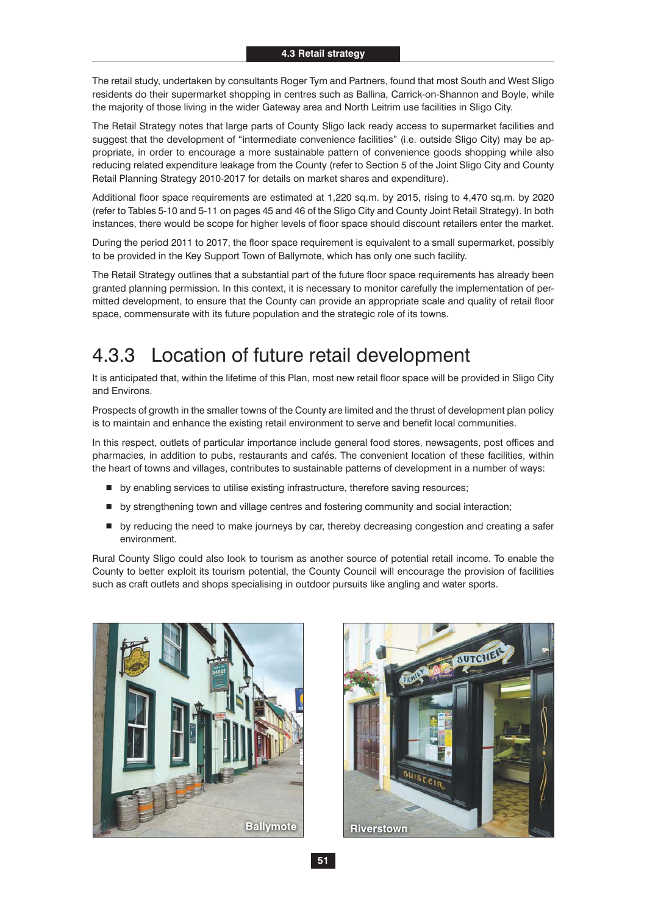The retail study, undertaken by consultants Roger Tym and Partners, found that most South and West Sligo residents do their supermarket shopping in centres such as Ballina, Carrick-on-Shannon and Boyle, while the majority of those living in the wider Gateway area and North Leitrim use facilities in Sligo City.

The Retail Strategy notes that large parts of County Sligo lack ready access to supermarket facilities and suggest that the development of "intermediate convenience facilities" (i.e. outside Sligo City) may be appropriate, in order to encourage a more sustainable pattern of convenience goods shopping while also reducing related expenditure leakage from the County (refer to Section 5 of the Joint Sligo City and County Retail Planning Strategy 2010-2017 for details on market shares and expenditure).

Additional floor space requirements are estimated at 1,220 sq.m. by 2015, rising to 4,470 sq.m. by 2020 (refer to Tables 5-10 and 5-11 on pages 45 and 46 of the Sligo City and County Joint Retail Strategy). In both instances, there would be scope for higher levels of floor space should discount retailers enter the market.

During the period 2011 to 2017, the floor space requirement is equivalent to a small supermarket, possibly to be provided in the Key Support Town of Ballymote, which has only one such facility.

The Retail Strategy outlines that a substantial part of the future floor space requirements has already been granted planning permission. In this context, it is necessary to monitor carefully the implementation of permitted development, to ensure that the County can provide an appropriate scale and quality of retail floor space, commensurate with its future population and the strategic role of its towns.

## 4.3.3 Location of future retail development

It is anticipated that, within the lifetime of this Plan, most new retail floor space will be provided in Sligo City and Environs.

Prospects of growth in the smaller towns of the County are limited and the thrust of development plan policy is to maintain and enhance the existing retail environment to serve and benefit local communities.

In this respect, outlets of particular importance include general food stores, newsagents, post offices and pharmacies, in addition to pubs, restaurants and cafés. The convenient location of these facilities, within the heart of towns and villages, contributes to sustainable patterns of development in a number of ways:

- **D** by enabling services to utilise existing infrastructure, therefore saving resources;
- **Didd** by strengthening town and village centres and fostering community and social interaction;
- $\blacksquare$  by reducing the need to make journeys by car, thereby decreasing congestion and creating a safer environment.

Rural County Sligo could also look to tourism as another source of potential retail income. To enable the County to better exploit its tourism potential, the County Council will encourage the provision of facilities such as craft outlets and shops specialising in outdoor pursuits like angling and water sports.



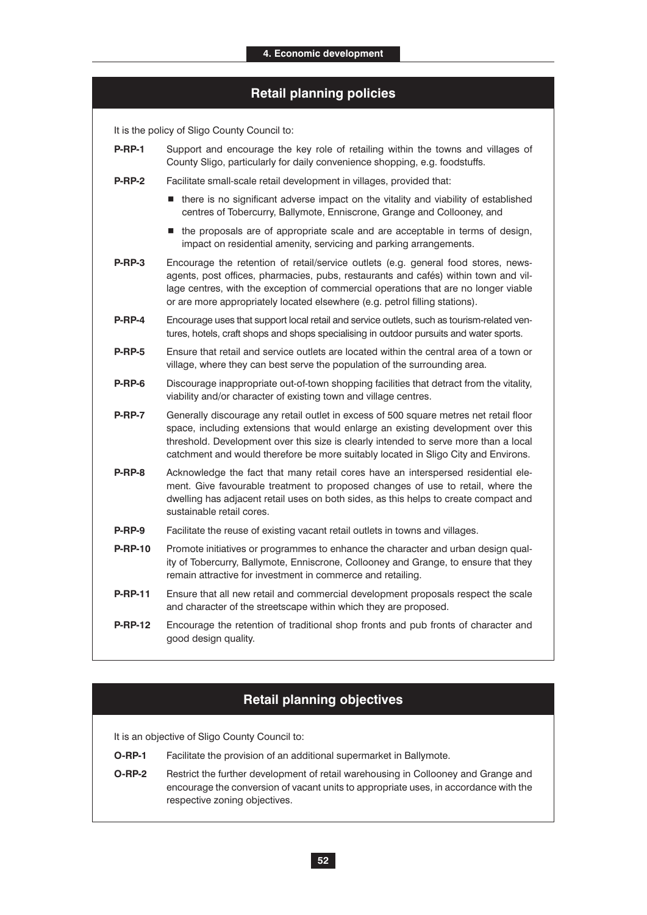|                | <b>Retail planning policies</b>                                                                                                                                                                                                                                                                                                                          |  |  |  |  |  |  |
|----------------|----------------------------------------------------------------------------------------------------------------------------------------------------------------------------------------------------------------------------------------------------------------------------------------------------------------------------------------------------------|--|--|--|--|--|--|
|                | It is the policy of Sligo County Council to:                                                                                                                                                                                                                                                                                                             |  |  |  |  |  |  |
| <b>P-RP-1</b>  | Support and encourage the key role of retailing within the towns and villages of<br>County Sligo, particularly for daily convenience shopping, e.g. foodstuffs.                                                                                                                                                                                          |  |  |  |  |  |  |
| <b>P-RP-2</b>  | Facilitate small-scale retail development in villages, provided that:                                                                                                                                                                                                                                                                                    |  |  |  |  |  |  |
|                | ■ there is no significant adverse impact on the vitality and viability of established<br>centres of Tobercurry, Ballymote, Enniscrone, Grange and Collooney, and                                                                                                                                                                                         |  |  |  |  |  |  |
|                | ■ the proposals are of appropriate scale and are acceptable in terms of design,<br>impact on residential amenity, servicing and parking arrangements.                                                                                                                                                                                                    |  |  |  |  |  |  |
| <b>P-RP-3</b>  | Encourage the retention of retail/service outlets (e.g. general food stores, news-<br>agents, post offices, pharmacies, pubs, restaurants and cafés) within town and vil-<br>lage centres, with the exception of commercial operations that are no longer viable<br>or are more appropriately located elsewhere (e.g. petrol filling stations).          |  |  |  |  |  |  |
| $P-RP-4$       | Encourage uses that support local retail and service outlets, such as tourism-related ven-<br>tures, hotels, craft shops and shops specialising in outdoor pursuits and water sports.                                                                                                                                                                    |  |  |  |  |  |  |
| <b>P-RP-5</b>  | Ensure that retail and service outlets are located within the central area of a town or<br>village, where they can best serve the population of the surrounding area.                                                                                                                                                                                    |  |  |  |  |  |  |
| $P-RP-6$       | Discourage inappropriate out-of-town shopping facilities that detract from the vitality,<br>viability and/or character of existing town and village centres.                                                                                                                                                                                             |  |  |  |  |  |  |
| <b>P-RP-7</b>  | Generally discourage any retail outlet in excess of 500 square metres net retail floor<br>space, including extensions that would enlarge an existing development over this<br>threshold. Development over this size is clearly intended to serve more than a local<br>catchment and would therefore be more suitably located in Sligo City and Environs. |  |  |  |  |  |  |
| <b>P-RP-8</b>  | Acknowledge the fact that many retail cores have an interspersed residential ele-<br>ment. Give favourable treatment to proposed changes of use to retail, where the<br>dwelling has adjacent retail uses on both sides, as this helps to create compact and<br>sustainable retail cores.                                                                |  |  |  |  |  |  |
| $P-RP-9$       | Facilitate the reuse of existing vacant retail outlets in towns and villages.                                                                                                                                                                                                                                                                            |  |  |  |  |  |  |
| <b>P-RP-10</b> | Promote initiatives or programmes to enhance the character and urban design qual-<br>ity of Tobercurry, Ballymote, Enniscrone, Collooney and Grange, to ensure that they<br>remain attractive for investment in commerce and retailing.                                                                                                                  |  |  |  |  |  |  |
| <b>P-RP-11</b> | Ensure that all new retail and commercial development proposals respect the scale<br>and character of the streetscape within which they are proposed.                                                                                                                                                                                                    |  |  |  |  |  |  |
| <b>P-RP-12</b> | Encourage the retention of traditional shop fronts and pub fronts of character and<br>good design quality.                                                                                                                                                                                                                                               |  |  |  |  |  |  |

### **Retail planning objectives**

- **O-RP-1** Facilitate the provision of an additional supermarket in Ballymote.
- **O-RP-2** Restrict the further development of retail warehousing in Collooney and Grange and encourage the conversion of vacant units to appropriate uses, in accordance with the respective zoning objectives.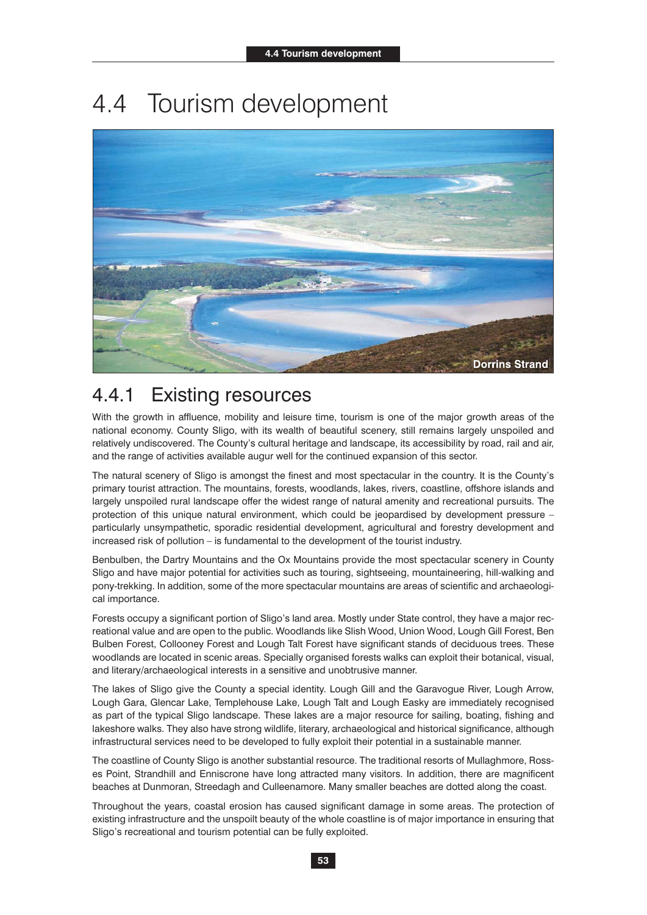## 4.4 Tourism development



### 4.4.1 Existing resources

With the growth in affluence, mobility and leisure time, tourism is one of the major growth areas of the national economy. County Sligo, with its wealth of beautiful scenery, still remains largely unspoiled and relatively undiscovered. The County's cultural heritage and landscape, its accessibility by road, rail and air, and the range of activities available augur well for the continued expansion of this sector.

The natural scenery of Sligo is amongst the finest and most spectacular in the country. It is the County's primary tourist attraction. The mountains, forests, woodlands, lakes, rivers, coastline, offshore islands and largely unspoiled rural landscape offer the widest range of natural amenity and recreational pursuits. The protection of this unique natural environment, which could be jeopardised by development pressure – particularly unsympathetic, sporadic residential development, agricultural and forestry development and increased risk of pollution – is fundamental to the development of the tourist industry.

Benbulben, the Dartry Mountains and the Ox Mountains provide the most spectacular scenery in County Sligo and have major potential for activities such as touring, sightseeing, mountaineering, hill-walking and pony-trekking. In addition, some of the more spectacular mountains are areas of scientific and archaeological importance.

Forests occupy a significant portion of Sligo's land area. Mostly under State control, they have a major recreational value and are open to the public. Woodlands like Slish Wood, Union Wood, Lough Gill Forest, Ben Bulben Forest, Collooney Forest and Lough Talt Forest have significant stands of deciduous trees. These woodlands are located in scenic areas. Specially organised forests walks can exploit their botanical, visual, and literary/archaeological interests in a sensitive and unobtrusive manner.

The lakes of Sligo give the County a special identity. Lough Gill and the Garavogue River, Lough Arrow, Lough Gara, Glencar Lake, Templehouse Lake, Lough Talt and Lough Easky are immediately recognised as part of the typical Sligo landscape. These lakes are a major resource for sailing, boating, fishing and lakeshore walks. They also have strong wildlife, literary, archaeological and historical significance, although infrastructural services need to be developed to fully exploit their potential in a sustainable manner.

The coastline of County Sligo is another substantial resource. The traditional resorts of Mullaghmore, Rosses Point, Strandhill and Enniscrone have long attracted many visitors. In addition, there are magnificent beaches at Dunmoran, Streedagh and Culleenamore. Many smaller beaches are dotted along the coast.

Throughout the years, coastal erosion has caused significant damage in some areas. The protection of existing infrastructure and the unspoilt beauty of the whole coastline is of major importance in ensuring that Sligo's recreational and tourism potential can be fully exploited.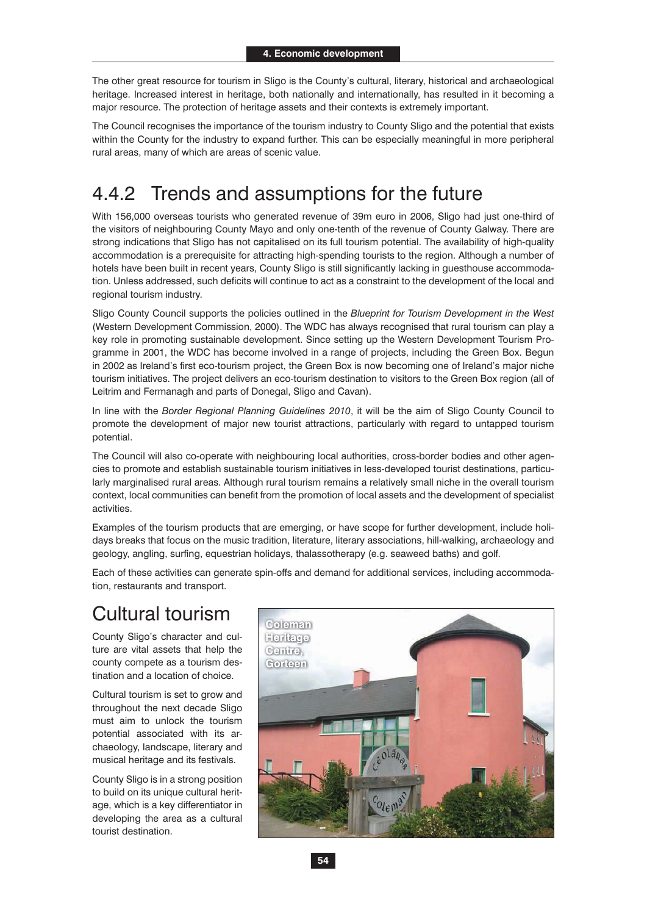The other great resource for tourism in Sligo is the County's cultural, literary, historical and archaeological heritage. Increased interest in heritage, both nationally and internationally, has resulted in it becoming a major resource. The protection of heritage assets and their contexts is extremely important.

The Council recognises the importance of the tourism industry to County Sligo and the potential that exists within the County for the industry to expand further. This can be especially meaningful in more peripheral rural areas, many of which are areas of scenic value.

## 4.4.2 Trends and assumptions for the future

With 156,000 overseas tourists who generated revenue of 39m euro in 2006, Sligo had just one-third of the visitors of neighbouring County Mayo and only one-tenth of the revenue of County Galway. There are strong indications that Sligo has not capitalised on its full tourism potential. The availability of high-quality accommodation is a prerequisite for attracting high-spending tourists to the region. Although a number of hotels have been built in recent years, County Sligo is still significantly lacking in guesthouse accommodation. Unless addressed, such deficits will continue to act as a constraint to the development of the local and regional tourism industry.

Sligo County Council supports the policies outlined in the *Blueprint for Tourism Development in the West*  (Western Development Commission, 2000). The WDC has always recognised that rural tourism can play a key role in promoting sustainable development. Since setting up the Western Development Tourism Programme in 2001, the WDC has become involved in a range of projects, including the Green Box. Begun in 2002 as Ireland's first eco-tourism project, the Green Box is now becoming one of Ireland's major niche tourism initiatives. The project delivers an eco-tourism destination to visitors to the Green Box region (all of Leitrim and Fermanagh and parts of Donegal, Sligo and Cavan).

In line with the *Border Regional Planning Guidelines 2010*, it will be the aim of Sligo County Council to promote the development of major new tourist attractions, particularly with regard to untapped tourism potential.

The Council will also co-operate with neighbouring local authorities, cross-border bodies and other agencies to promote and establish sustainable tourism initiatives in less-developed tourist destinations, particularly marginalised rural areas. Although rural tourism remains a relatively small niche in the overall tourism context, local communities can benefit from the promotion of local assets and the development of specialist activities.

Examples of the tourism products that are emerging, or have scope for further development, include holidays breaks that focus on the music tradition, literature, literary associations, hill-walking, archaeology and geology, angling, surfing, equestrian holidays, thalassotherapy (e.g. seaweed baths) and golf.

Each of these activities can generate spin-offs and demand for additional services, including accommodation, restaurants and transport.

## Cultural tourism

County Sligo's character and culture are vital assets that help the county compete as a tourism destination and a location of choice.

Cultural tourism is set to grow and throughout the next decade Sligo must aim to unlock the tourism potential associated with its archaeology, landscape, literary and musical heritage and its festivals.

County Sligo is in a strong position to build on its unique cultural heritage, which is a key differentiator in developing the area as a cultural tourist destination.

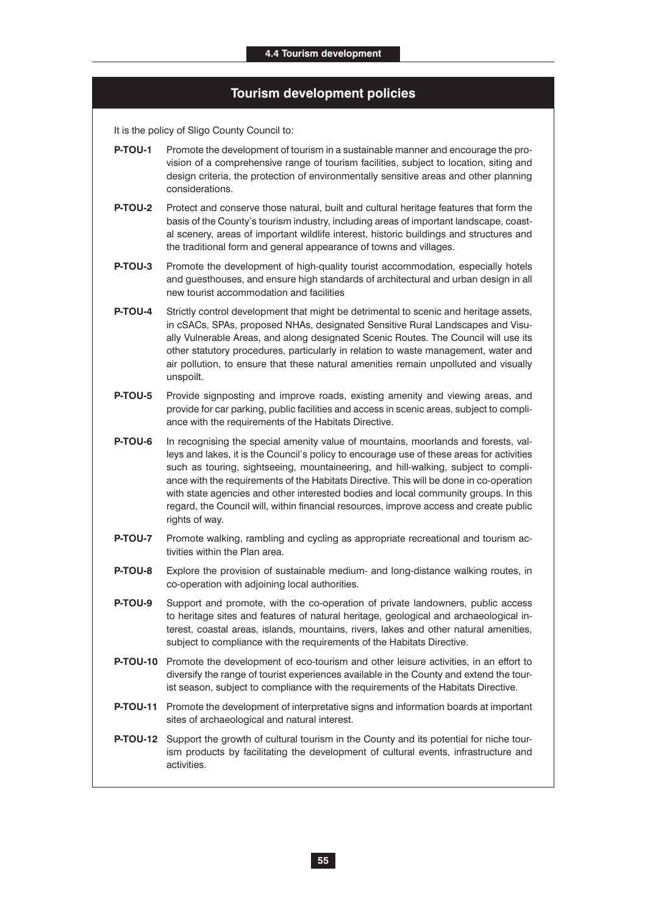### **Tourism development policies**

It is the policy of Sligo County Council to:

- **P-TOU-1** Promote the development of tourism in a sustainable manner and encourage the provision of a comprehensive range of tourism facilities, subject to location, siting and design criteria, the protection of environmentally sensitive areas and other planning considerations.
- **P-TOU-2** Protect and conserve those natural, built and cultural heritage features that form the basis of the County's tourism industry, including areas of important landscape, coastal scenery, areas of important wildlife interest, historic buildings and structures and the traditional form and general appearance of towns and villages.
- **P-TOU-3** Promote the development of high-quality tourist accommodation, especially hotels and guesthouses, and ensure high standards of architectural and urban design in all new tourist accommodation and facilities
- **P-TOU-4** Strictly control development that might be detrimental to scenic and heritage assets, in cSACs, SPAs, proposed NHAs, designated Sensitive Rural Landscapes and Visually Vulnerable Areas, and along designated Scenic Routes. The Council will use its other statutory procedures, particularly in relation to waste management, water and air pollution, to ensure that these natural amenities remain unpolluted and visually unspoilt.
- **P-TOU-5** Provide signposting and improve roads, existing amenity and viewing areas, and provide for car parking, public facilities and access in scenic areas, subject to compliance with the requirements of the Habitats Directive.
- **P-TOU-6** In recognising the special amenity value of mountains, moorlands and forests, valleys and lakes, it is the Council's policy to encourage use of these areas for activities such as touring, sightseeing, mountaineering, and hill-walking, subject to compliance with the requirements of the Habitats Directive. This will be done in co-operation with state agencies and other interested bodies and local community groups. In this regard, the Council will, within financial resources, improve access and create public rights of way.
- **P-TOU-7** Promote walking, rambling and cycling as appropriate recreational and tourism activities within the Plan area.
- **P-TOU-8** Explore the provision of sustainable medium- and long-distance walking routes, in co-operation with adjoining local authorities.
- **P-TOU-9** Support and promote, with the co-operation of private landowners, public access to heritage sites and features of natural heritage, geological and archaeological interest, coastal areas, islands, mountains, rivers, lakes and other natural amenities, subject to compliance with the requirements of the Habitats Directive.
- **P-TOU-10** Promote the development of eco-tourism and other leisure activities, in an effort to diversify the range of tourist experiences available in the County and extend the tourist season, subject to compliance with the requirements of the Habitats Directive.
- **P-TOU-11** Promote the development of interpretative signs and information boards at important sites of archaeological and natural interest.
- **P-TOU-12** Support the growth of cultural tourism in the County and its potential for niche tourism products by facilitating the development of cultural events, infrastructure and activities.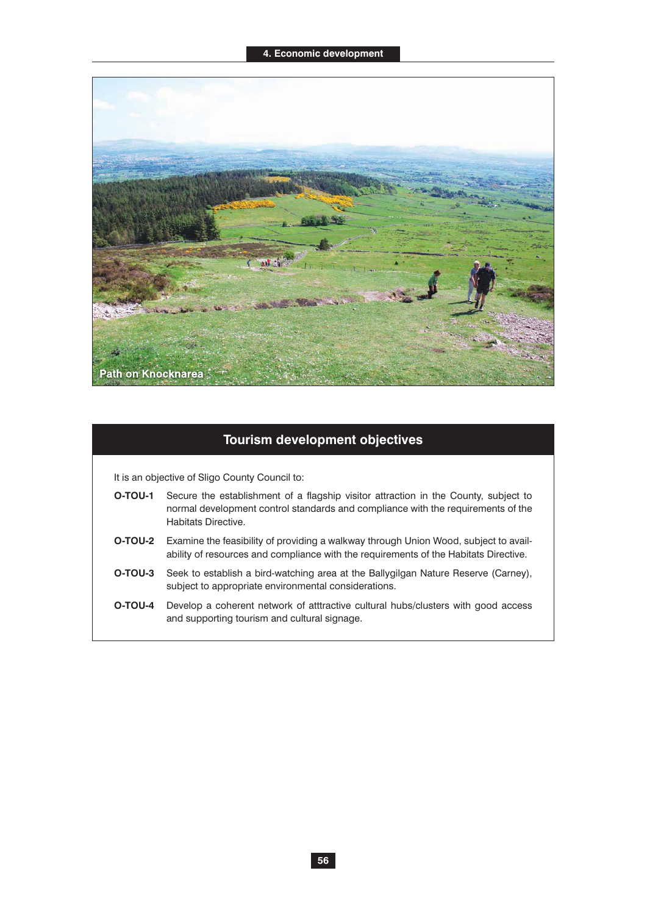

### **Tourism development objectives**

- **O-TOU-1** Secure the establishment of a flagship visitor attraction in the County, subject to normal development control standards and compliance with the requirements of the Habitats Directive.
- **O-TOU-2** Examine the feasibility of providing a walkway through Union Wood, subject to availability of resources and compliance with the requirements of the Habitats Directive.
- **O-TOU-3** Seek to establish a bird-watching area at the Ballygilgan Nature Reserve (Carney), subject to appropriate environmental considerations.
- **O-TOU-4** Develop a coherent network of atttractive cultural hubs/clusters with good access and supporting tourism and cultural signage.